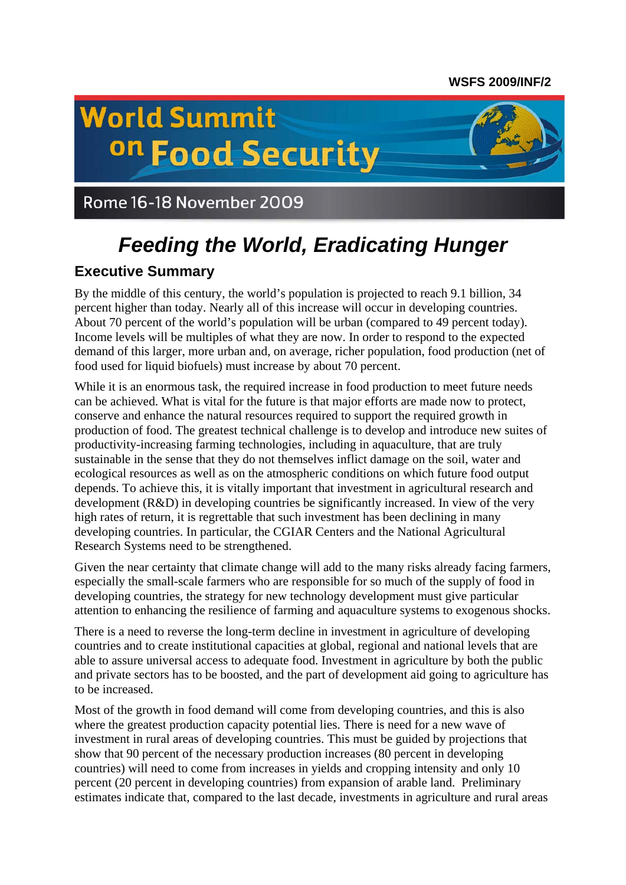# **WSFS 2009/INF/2**

# **World Summit** on Food Security



# Rome 16-18 November 2009

# *Feeding the World, Eradicating Hunger*

# **Executive Summary**

By the middle of this century, the world's population is projected to reach 9.1 billion, 34 percent higher than today. Nearly all of this increase will occur in developing countries. About 70 percent of the world's population will be urban (compared to 49 percent today). Income levels will be multiples of what they are now. In order to respond to the expected demand of this larger, more urban and, on average, richer population, food production (net of food used for liquid biofuels) must increase by about 70 percent.

While it is an enormous task, the required increase in food production to meet future needs can be achieved. What is vital for the future is that major efforts are made now to protect, conserve and enhance the natural resources required to support the required growth in production of food. The greatest technical challenge is to develop and introduce new suites of productivity-increasing farming technologies, including in aquaculture, that are truly sustainable in the sense that they do not themselves inflict damage on the soil, water and ecological resources as well as on the atmospheric conditions on which future food output depends. To achieve this, it is vitally important that investment in agricultural research and development (R&D) in developing countries be significantly increased. In view of the very high rates of return, it is regrettable that such investment has been declining in many developing countries. In particular, the CGIAR Centers and the National Agricultural Research Systems need to be strengthened.

Given the near certainty that climate change will add to the many risks already facing farmers, especially the small-scale farmers who are responsible for so much of the supply of food in developing countries, the strategy for new technology development must give particular attention to enhancing the resilience of farming and aquaculture systems to exogenous shocks.

There is a need to reverse the long-term decline in investment in agriculture of developing countries and to create institutional capacities at global, regional and national levels that are able to assure universal access to adequate food. Investment in agriculture by both the public and private sectors has to be boosted, and the part of development aid going to agriculture has to be increased.

Most of the growth in food demand will come from developing countries, and this is also where the greatest production capacity potential lies. There is need for a new wave of investment in rural areas of developing countries. This must be guided by projections that show that 90 percent of the necessary production increases (80 percent in developing countries) will need to come from increases in yields and cropping intensity and only 10 percent (20 percent in developing countries) from expansion of arable land. Preliminary estimates indicate that, compared to the last decade, investments in agriculture and rural areas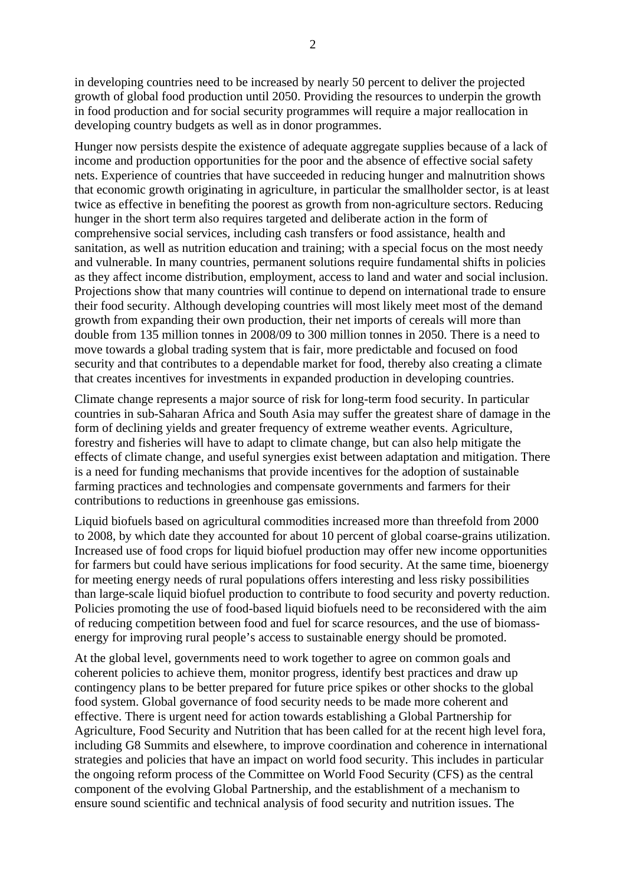in developing countries need to be increased by nearly 50 percent to deliver the projected growth of global food production until 2050. Providing the resources to underpin the growth in food production and for social security programmes will require a major reallocation in developing country budgets as well as in donor programmes.

Hunger now persists despite the existence of adequate aggregate supplies because of a lack of income and production opportunities for the poor and the absence of effective social safety nets. Experience of countries that have succeeded in reducing hunger and malnutrition shows that economic growth originating in agriculture, in particular the smallholder sector, is at least twice as effective in benefiting the poorest as growth from non-agriculture sectors. Reducing hunger in the short term also requires targeted and deliberate action in the form of comprehensive social services, including cash transfers or food assistance, health and sanitation, as well as nutrition education and training; with a special focus on the most needy and vulnerable. In many countries, permanent solutions require fundamental shifts in policies as they affect income distribution, employment, access to land and water and social inclusion. Projections show that many countries will continue to depend on international trade to ensure their food security. Although developing countries will most likely meet most of the demand growth from expanding their own production, their net imports of cereals will more than double from 135 million tonnes in 2008/09 to 300 million tonnes in 2050. There is a need to move towards a global trading system that is fair, more predictable and focused on food security and that contributes to a dependable market for food, thereby also creating a climate that creates incentives for investments in expanded production in developing countries.

Climate change represents a major source of risk for long-term food security. In particular countries in sub-Saharan Africa and South Asia may suffer the greatest share of damage in the form of declining yields and greater frequency of extreme weather events. Agriculture, forestry and fisheries will have to adapt to climate change, but can also help mitigate the effects of climate change, and useful synergies exist between adaptation and mitigation. There is a need for funding mechanisms that provide incentives for the adoption of sustainable farming practices and technologies and compensate governments and farmers for their contributions to reductions in greenhouse gas emissions.

Liquid biofuels based on agricultural commodities increased more than threefold from 2000 to 2008, by which date they accounted for about 10 percent of global coarse-grains utilization. Increased use of food crops for liquid biofuel production may offer new income opportunities for farmers but could have serious implications for food security. At the same time, bioenergy for meeting energy needs of rural populations offers interesting and less risky possibilities than large-scale liquid biofuel production to contribute to food security and poverty reduction. Policies promoting the use of food-based liquid biofuels need to be reconsidered with the aim of reducing competition between food and fuel for scarce resources, and the use of biomassenergy for improving rural people's access to sustainable energy should be promoted.

At the global level, governments need to work together to agree on common goals and coherent policies to achieve them, monitor progress, identify best practices and draw up contingency plans to be better prepared for future price spikes or other shocks to the global food system. Global governance of food security needs to be made more coherent and effective. There is urgent need for action towards establishing a Global Partnership for Agriculture, Food Security and Nutrition that has been called for at the recent high level fora, including G8 Summits and elsewhere, to improve coordination and coherence in international strategies and policies that have an impact on world food security. This includes in particular the ongoing reform process of the Committee on World Food Security (CFS) as the central component of the evolving Global Partnership, and the establishment of a mechanism to ensure sound scientific and technical analysis of food security and nutrition issues. The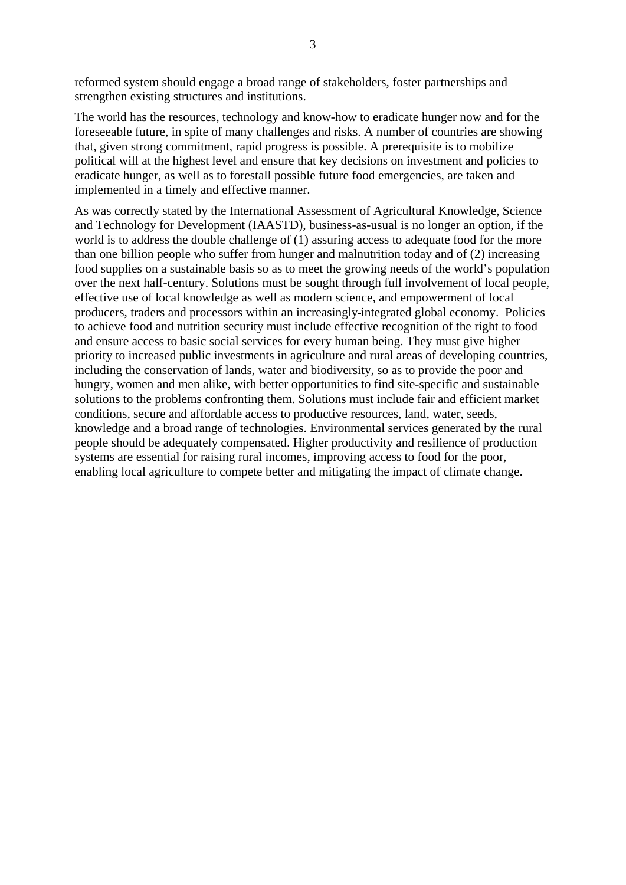reformed system should engage a broad range of stakeholders, foster partnerships and strengthen existing structures and institutions.

The world has the resources, technology and know-how to eradicate hunger now and for the foreseeable future, in spite of many challenges and risks. A number of countries are showing that, given strong commitment, rapid progress is possible. A prerequisite is to mobilize political will at the highest level and ensure that key decisions on investment and policies to eradicate hunger, as well as to forestall possible future food emergencies, are taken and implemented in a timely and effective manner.

As was correctly stated by the International Assessment of Agricultural Knowledge, Science and Technology for Development (IAASTD), business-as-usual is no longer an option, if the world is to address the double challenge of (1) assuring access to adequate food for the more than one billion people who suffer from hunger and malnutrition today and of (2) increasing food supplies on a sustainable basis so as to meet the growing needs of the world's population over the next half-century. Solutions must be sought through full involvement of local people, effective use of local knowledge as well as modern science, and empowerment of local producers, traders and processors within an increasingly integrated global economy. Policies to achieve food and nutrition security must include effective recognition of the right to food and ensure access to basic social services for every human being. They must give higher priority to increased public investments in agriculture and rural areas of developing countries, including the conservation of lands, water and biodiversity, so as to provide the poor and hungry, women and men alike, with better opportunities to find site-specific and sustainable solutions to the problems confronting them. Solutions must include fair and efficient market conditions, secure and affordable access to productive resources, land, water, seeds, knowledge and a broad range of technologies. Environmental services generated by the rural people should be adequately compensated. Higher productivity and resilience of production systems are essential for raising rural incomes, improving access to food for the poor, enabling local agriculture to compete better and mitigating the impact of climate change.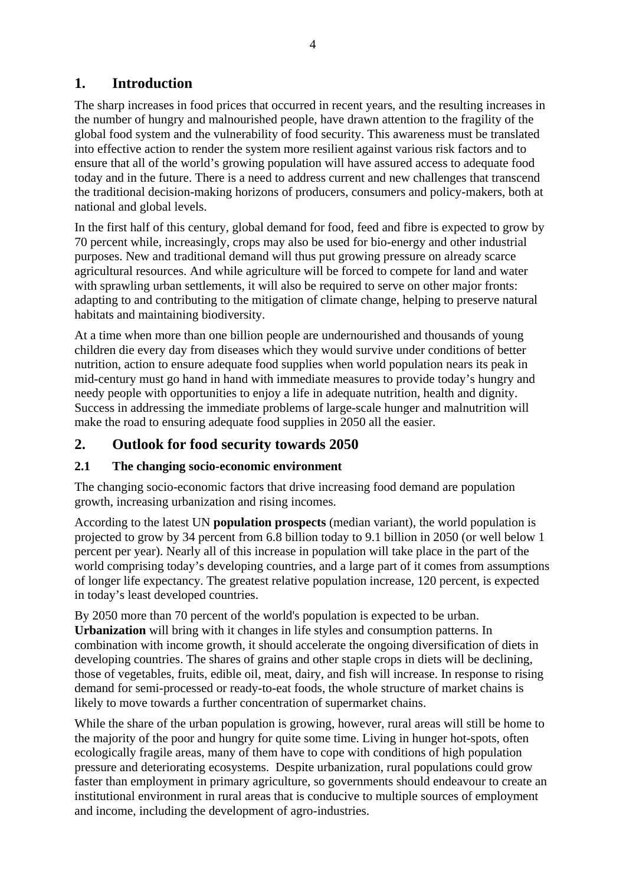# **1. Introduction**

The sharp increases in food prices that occurred in recent years, and the resulting increases in the number of hungry and malnourished people, have drawn attention to the fragility of the global food system and the vulnerability of food security. This awareness must be translated into effective action to render the system more resilient against various risk factors and to ensure that all of the world's growing population will have assured access to adequate food today and in the future. There is a need to address current and new challenges that transcend the traditional decision-making horizons of producers, consumers and policy-makers, both at national and global levels.

In the first half of this century, global demand for food, feed and fibre is expected to grow by 70 percent while, increasingly, crops may also be used for bio-energy and other industrial purposes. New and traditional demand will thus put growing pressure on already scarce agricultural resources. And while agriculture will be forced to compete for land and water with sprawling urban settlements, it will also be required to serve on other major fronts: adapting to and contributing to the mitigation of climate change, helping to preserve natural habitats and maintaining biodiversity.

At a time when more than one billion people are undernourished and thousands of young children die every day from diseases which they would survive under conditions of better nutrition, action to ensure adequate food supplies when world population nears its peak in mid-century must go hand in hand with immediate measures to provide today's hungry and needy people with opportunities to enjoy a life in adequate nutrition, health and dignity. Success in addressing the immediate problems of large-scale hunger and malnutrition will make the road to ensuring adequate food supplies in 2050 all the easier.

# **2. Outlook for food security towards 2050**

### **2.1 The changing socio-economic environment**

The changing socio-economic factors that drive increasing food demand are population growth, increasing urbanization and rising incomes.

According to the latest UN **population prospects** (median variant), the world population is projected to grow by 34 percent from 6.8 billion today to 9.1 billion in 2050 (or well below 1 percent per year). Nearly all of this increase in population will take place in the part of the world comprising today's developing countries, and a large part of it comes from assumptions of longer life expectancy. The greatest relative population increase, 120 percent, is expected in today's least developed countries.

By 2050 more than 70 percent of the world's population is expected to be urban. **Urbanization** will bring with it changes in life styles and consumption patterns. In combination with income growth, it should accelerate the ongoing diversification of diets in developing countries. The shares of grains and other staple crops in diets will be declining, those of vegetables, fruits, edible oil, meat, dairy, and fish will increase. In response to rising demand for semi-processed or ready-to-eat foods, the whole structure of market chains is likely to move towards a further concentration of supermarket chains.

While the share of the urban population is growing, however, rural areas will still be home to the majority of the poor and hungry for quite some time. Living in hunger hot-spots, often ecologically fragile areas, many of them have to cope with conditions of high population pressure and deteriorating ecosystems. Despite urbanization, rural populations could grow faster than employment in primary agriculture, so governments should endeavour to create an institutional environment in rural areas that is conducive to multiple sources of employment and income, including the development of agro-industries.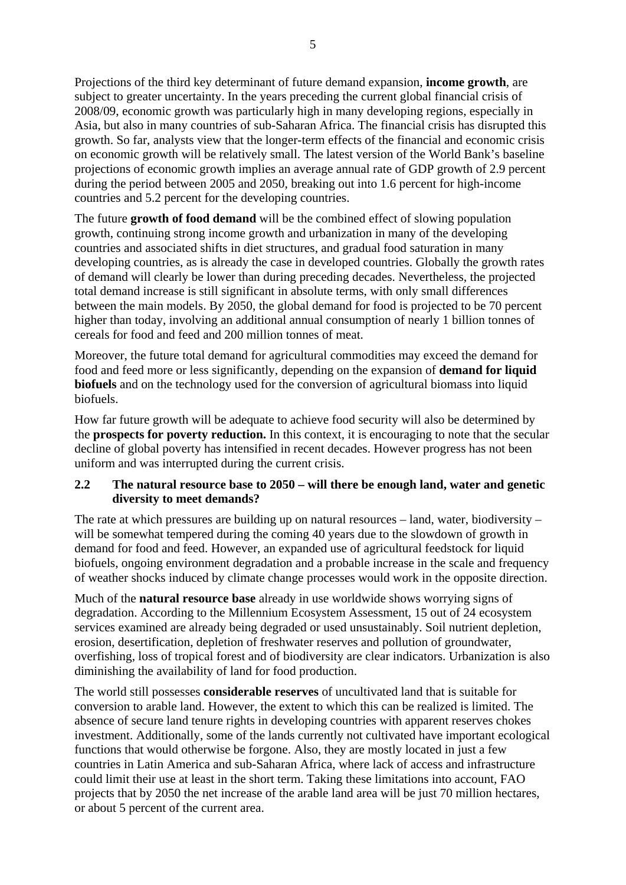Projections of the third key determinant of future demand expansion, **income growth**, are subject to greater uncertainty. In the years preceding the current global financial crisis of 2008/09, economic growth was particularly high in many developing regions, especially in Asia, but also in many countries of sub-Saharan Africa. The financial crisis has disrupted this growth. So far, analysts view that the longer-term effects of the financial and economic crisis on economic growth will be relatively small. The latest version of the World Bank's baseline projections of economic growth implies an average annual rate of GDP growth of 2.9 percent during the period between 2005 and 2050, breaking out into 1.6 percent for high-income countries and 5.2 percent for the developing countries.

The future **growth of food demand** will be the combined effect of slowing population growth, continuing strong income growth and urbanization in many of the developing countries and associated shifts in diet structures, and gradual food saturation in many developing countries, as is already the case in developed countries. Globally the growth rates of demand will clearly be lower than during preceding decades. Nevertheless, the projected total demand increase is still significant in absolute terms, with only small differences between the main models. By 2050, the global demand for food is projected to be 70 percent higher than today, involving an additional annual consumption of nearly 1 billion tonnes of cereals for food and feed and 200 million tonnes of meat.

Moreover, the future total demand for agricultural commodities may exceed the demand for food and feed more or less significantly, depending on the expansion of **demand for liquid biofuels** and on the technology used for the conversion of agricultural biomass into liquid biofuels.

How far future growth will be adequate to achieve food security will also be determined by the **prospects for poverty reduction.** In this context, it is encouraging to note that the secular decline of global poverty has intensified in recent decades. However progress has not been uniform and was interrupted during the current crisis.

#### **2.2 The natural resource base to 2050 – will there be enough land, water and genetic diversity to meet demands?**

The rate at which pressures are building up on natural resources – land, water, biodiversity – will be somewhat tempered during the coming 40 years due to the slowdown of growth in demand for food and feed. However, an expanded use of agricultural feedstock for liquid biofuels, ongoing environment degradation and a probable increase in the scale and frequency of weather shocks induced by climate change processes would work in the opposite direction.

Much of the **natural resource base** already in use worldwide shows worrying signs of degradation. According to the Millennium Ecosystem Assessment, 15 out of 24 ecosystem services examined are already being degraded or used unsustainably. Soil nutrient depletion, erosion, desertification, depletion of freshwater reserves and pollution of groundwater, overfishing, loss of tropical forest and of biodiversity are clear indicators. Urbanization is also diminishing the availability of land for food production.

The world still possesses **considerable reserves** of uncultivated land that is suitable for conversion to arable land. However, the extent to which this can be realized is limited. The absence of secure land tenure rights in developing countries with apparent reserves chokes investment. Additionally, some of the lands currently not cultivated have important ecological functions that would otherwise be forgone. Also, they are mostly located in just a few countries in Latin America and sub-Saharan Africa, where lack of access and infrastructure could limit their use at least in the short term. Taking these limitations into account, FAO projects that by 2050 the net increase of the arable land area will be just 70 million hectares, or about 5 percent of the current area.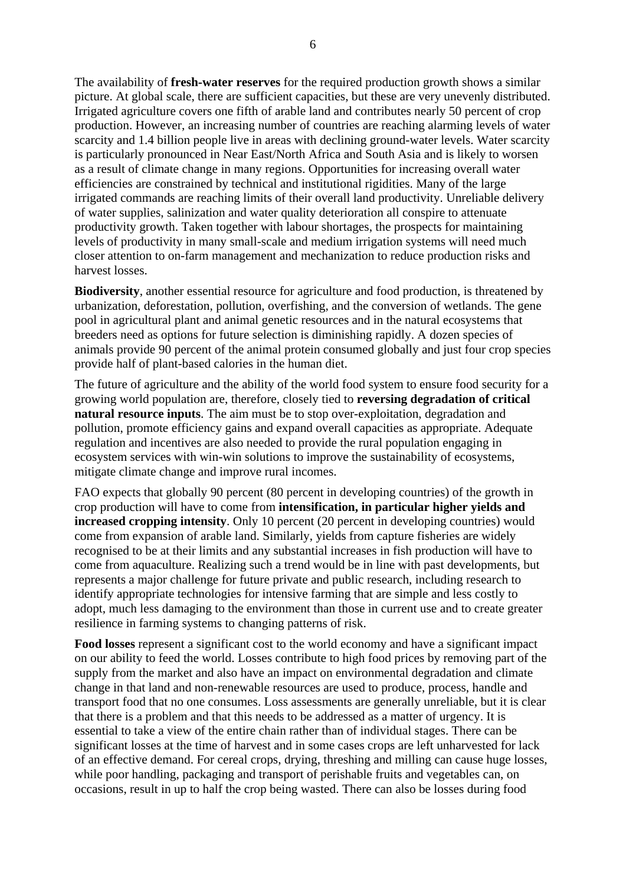The availability of **fresh-water reserves** for the required production growth shows a similar picture. At global scale, there are sufficient capacities, but these are very unevenly distributed. Irrigated agriculture covers one fifth of arable land and contributes nearly 50 percent of crop production. However, an increasing number of countries are reaching alarming levels of water scarcity and 1.4 billion people live in areas with declining ground-water levels. Water scarcity is particularly pronounced in Near East/North Africa and South Asia and is likely to worsen as a result of climate change in many regions. Opportunities for increasing overall water efficiencies are constrained by technical and institutional rigidities. Many of the large irrigated commands are reaching limits of their overall land productivity. Unreliable delivery of water supplies, salinization and water quality deterioration all conspire to attenuate productivity growth. Taken together with labour shortages, the prospects for maintaining levels of productivity in many small-scale and medium irrigation systems will need much closer attention to on-farm management and mechanization to reduce production risks and harvest losses.

**Biodiversity**, another essential resource for agriculture and food production, is threatened by urbanization, deforestation, pollution, overfishing, and the conversion of wetlands. The gene pool in agricultural plant and animal genetic resources and in the natural ecosystems that breeders need as options for future selection is diminishing rapidly. A dozen species of animals provide 90 percent of the animal protein consumed globally and just four crop species provide half of plant-based calories in the human diet.

The future of agriculture and the ability of the world food system to ensure food security for a growing world population are, therefore, closely tied to **reversing degradation of critical natural resource inputs**. The aim must be to stop over-exploitation, degradation and pollution, promote efficiency gains and expand overall capacities as appropriate. Adequate regulation and incentives are also needed to provide the rural population engaging in ecosystem services with win-win solutions to improve the sustainability of ecosystems, mitigate climate change and improve rural incomes.

FAO expects that globally 90 percent (80 percent in developing countries) of the growth in crop production will have to come from **intensification, in particular higher yields and increased cropping intensity**. Only 10 percent (20 percent in developing countries) would come from expansion of arable land. Similarly, yields from capture fisheries are widely recognised to be at their limits and any substantial increases in fish production will have to come from aquaculture. Realizing such a trend would be in line with past developments, but represents a major challenge for future private and public research, including research to identify appropriate technologies for intensive farming that are simple and less costly to adopt, much less damaging to the environment than those in current use and to create greater resilience in farming systems to changing patterns of risk.

**Food losses** represent a significant cost to the world economy and have a significant impact on our ability to feed the world. Losses contribute to high food prices by removing part of the supply from the market and also have an impact on environmental degradation and climate change in that land and non-renewable resources are used to produce, process, handle and transport food that no one consumes. Loss assessments are generally unreliable, but it is clear that there is a problem and that this needs to be addressed as a matter of urgency. It is essential to take a view of the entire chain rather than of individual stages. There can be significant losses at the time of harvest and in some cases crops are left unharvested for lack of an effective demand. For cereal crops, drying, threshing and milling can cause huge losses, while poor handling, packaging and transport of perishable fruits and vegetables can, on occasions, result in up to half the crop being wasted. There can also be losses during food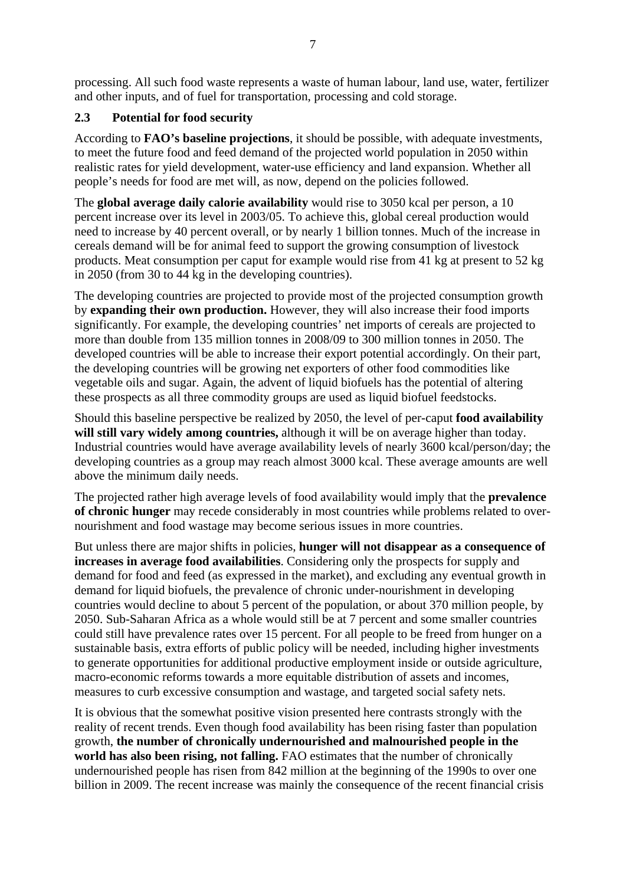processing. All such food waste represents a waste of human labour, land use, water, fertilizer and other inputs, and of fuel for transportation, processing and cold storage.

## **2.3 Potential for food security**

According to **FAO's baseline projections**, it should be possible, with adequate investments, to meet the future food and feed demand of the projected world population in 2050 within realistic rates for yield development, water-use efficiency and land expansion. Whether all people's needs for food are met will, as now, depend on the policies followed.

The **global average daily calorie availability** would rise to 3050 kcal per person, a 10 percent increase over its level in 2003/05. To achieve this, global cereal production would need to increase by 40 percent overall, or by nearly 1 billion tonnes. Much of the increase in cereals demand will be for animal feed to support the growing consumption of livestock products. Meat consumption per caput for example would rise from 41 kg at present to 52 kg in 2050 (from 30 to 44 kg in the developing countries).

The developing countries are projected to provide most of the projected consumption growth by **expanding their own production.** However, they will also increase their food imports significantly. For example, the developing countries' net imports of cereals are projected to more than double from 135 million tonnes in 2008/09 to 300 million tonnes in 2050. The developed countries will be able to increase their export potential accordingly. On their part, the developing countries will be growing net exporters of other food commodities like vegetable oils and sugar. Again, the advent of liquid biofuels has the potential of altering these prospects as all three commodity groups are used as liquid biofuel feedstocks.

Should this baseline perspective be realized by 2050, the level of per-caput **food availability will still vary widely among countries,** although it will be on average higher than today. Industrial countries would have average availability levels of nearly 3600 kcal/person/day; the developing countries as a group may reach almost 3000 kcal. These average amounts are well above the minimum daily needs.

The projected rather high average levels of food availability would imply that the **prevalence of chronic hunger** may recede considerably in most countries while problems related to overnourishment and food wastage may become serious issues in more countries.

But unless there are major shifts in policies, **hunger will not disappear as a consequence of increases in average food availabilities**. Considering only the prospects for supply and demand for food and feed (as expressed in the market), and excluding any eventual growth in demand for liquid biofuels, the prevalence of chronic under-nourishment in developing countries would decline to about 5 percent of the population, or about 370 million people, by 2050. Sub-Saharan Africa as a whole would still be at 7 percent and some smaller countries could still have prevalence rates over 15 percent. For all people to be freed from hunger on a sustainable basis, extra efforts of public policy will be needed, including higher investments to generate opportunities for additional productive employment inside or outside agriculture, macro-economic reforms towards a more equitable distribution of assets and incomes, measures to curb excessive consumption and wastage, and targeted social safety nets.

It is obvious that the somewhat positive vision presented here contrasts strongly with the reality of recent trends. Even though food availability has been rising faster than population growth, **the number of chronically undernourished and malnourished people in the**  world has also been rising, not falling. FAO estimates that the number of chronically undernourished people has risen from 842 million at the beginning of the 1990s to over one billion in 2009. The recent increase was mainly the consequence of the recent financial crisis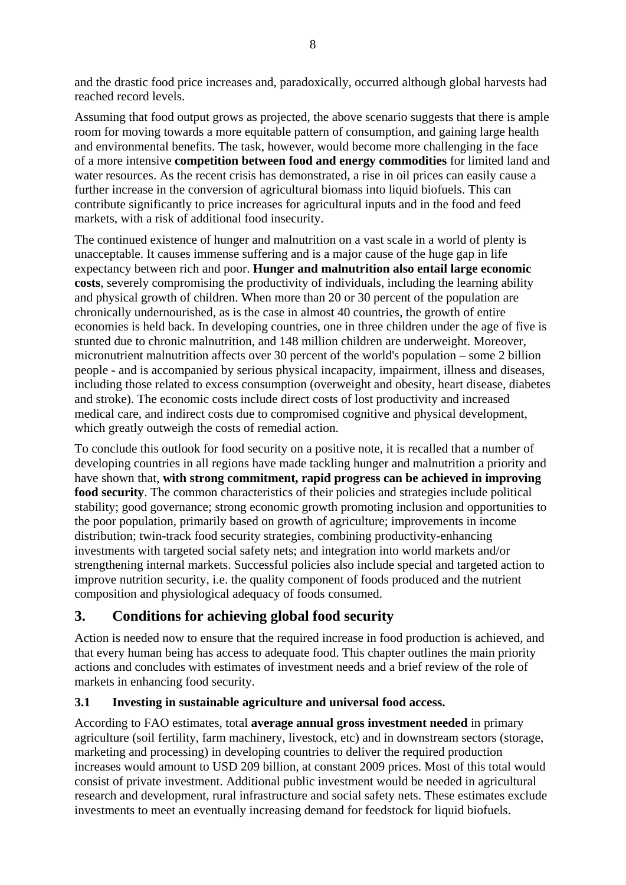and the drastic food price increases and, paradoxically, occurred although global harvests had reached record levels.

Assuming that food output grows as projected, the above scenario suggests that there is ample room for moving towards a more equitable pattern of consumption, and gaining large health and environmental benefits. The task, however, would become more challenging in the face of a more intensive **competition between food and energy commodities** for limited land and water resources. As the recent crisis has demonstrated, a rise in oil prices can easily cause a further increase in the conversion of agricultural biomass into liquid biofuels. This can contribute significantly to price increases for agricultural inputs and in the food and feed markets, with a risk of additional food insecurity.

The continued existence of hunger and malnutrition on a vast scale in a world of plenty is unacceptable. It causes immense suffering and is a major cause of the huge gap in life expectancy between rich and poor. **Hunger and malnutrition also entail large economic costs**, severely compromising the productivity of individuals, including the learning ability and physical growth of children. When more than 20 or 30 percent of the population are chronically undernourished, as is the case in almost 40 countries, the growth of entire economies is held back. In developing countries, one in three children under the age of five is stunted due to chronic malnutrition, and 148 million children are underweight. Moreover, micronutrient malnutrition affects over 30 percent of the world's population – some 2 billion people - and is accompanied by serious physical incapacity, impairment, illness and diseases, including those related to excess consumption (overweight and obesity, heart disease, diabetes and stroke). The economic costs include direct costs of lost productivity and increased medical care, and indirect costs due to compromised cognitive and physical development, which greatly outweigh the costs of remedial action.

To conclude this outlook for food security on a positive note, it is recalled that a number of developing countries in all regions have made tackling hunger and malnutrition a priority and have shown that, **with strong commitment, rapid progress can be achieved in improving food security**. The common characteristics of their policies and strategies include political stability; good governance; strong economic growth promoting inclusion and opportunities to the poor population, primarily based on growth of agriculture; improvements in income distribution; twin-track food security strategies, combining productivity-enhancing investments with targeted social safety nets; and integration into world markets and/or strengthening internal markets. Successful policies also include special and targeted action to improve nutrition security, i.e. the quality component of foods produced and the nutrient composition and physiological adequacy of foods consumed.

# **3. Conditions for achieving global food security**

Action is needed now to ensure that the required increase in food production is achieved, and that every human being has access to adequate food. This chapter outlines the main priority actions and concludes with estimates of investment needs and a brief review of the role of markets in enhancing food security.

# **3.1 Investing in sustainable agriculture and universal food access.**

According to FAO estimates, total **average annual gross investment needed** in primary agriculture (soil fertility, farm machinery, livestock, etc) and in downstream sectors (storage, marketing and processing) in developing countries to deliver the required production increases would amount to USD 209 billion, at constant 2009 prices. Most of this total would consist of private investment. Additional public investment would be needed in agricultural research and development, rural infrastructure and social safety nets. These estimates exclude investments to meet an eventually increasing demand for feedstock for liquid biofuels.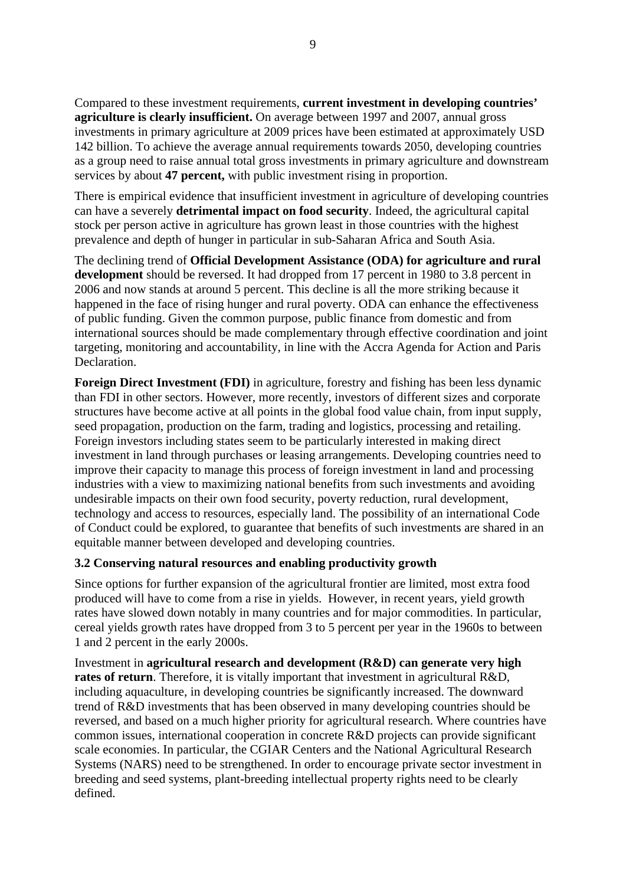Compared to these investment requirements, **current investment in developing countries' agriculture is clearly insufficient.** On average between 1997 and 2007, annual gross investments in primary agriculture at 2009 prices have been estimated at approximately USD 142 billion. To achieve the average annual requirements towards 2050, developing countries as a group need to raise annual total gross investments in primary agriculture and downstream services by about **47 percent,** with public investment rising in proportion.

There is empirical evidence that insufficient investment in agriculture of developing countries can have a severely **detrimental impact on food security**. Indeed, the agricultural capital stock per person active in agriculture has grown least in those countries with the highest prevalence and depth of hunger in particular in sub-Saharan Africa and South Asia.

The declining trend of **Official Development Assistance (ODA) for agriculture and rural development** should be reversed. It had dropped from 17 percent in 1980 to 3.8 percent in 2006 and now stands at around 5 percent. This decline is all the more striking because it happened in the face of rising hunger and rural poverty. ODA can enhance the effectiveness of public funding. Given the common purpose, public finance from domestic and from international sources should be made complementary through effective coordination and joint targeting, monitoring and accountability, in line with the Accra Agenda for Action and Paris Declaration.

**Foreign Direct Investment (FDI)** in agriculture, forestry and fishing has been less dynamic than FDI in other sectors. However, more recently, investors of different sizes and corporate structures have become active at all points in the global food value chain, from input supply, seed propagation, production on the farm, trading and logistics, processing and retailing. Foreign investors including states seem to be particularly interested in making direct investment in land through purchases or leasing arrangements. Developing countries need to improve their capacity to manage this process of foreign investment in land and processing industries with a view to maximizing national benefits from such investments and avoiding undesirable impacts on their own food security, poverty reduction, rural development, technology and access to resources, especially land. The possibility of an international Code of Conduct could be explored, to guarantee that benefits of such investments are shared in an equitable manner between developed and developing countries.

#### **3.2 Conserving natural resources and enabling productivity growth**

Since options for further expansion of the agricultural frontier are limited, most extra food produced will have to come from a rise in yields. However, in recent years, yield growth rates have slowed down notably in many countries and for major commodities. In particular, cereal yields growth rates have dropped from 3 to 5 percent per year in the 1960s to between 1 and 2 percent in the early 2000s.

Investment in **agricultural research and development (R&D) can generate very high rates of return**. Therefore, it is vitally important that investment in agricultural R&D, including aquaculture, in developing countries be significantly increased. The downward trend of R&D investments that has been observed in many developing countries should be reversed, and based on a much higher priority for agricultural research. Where countries have common issues, international cooperation in concrete R&D projects can provide significant scale economies. In particular, the CGIAR Centers and the National Agricultural Research Systems (NARS) need to be strengthened. In order to encourage private sector investment in breeding and seed systems, plant-breeding intellectual property rights need to be clearly defined.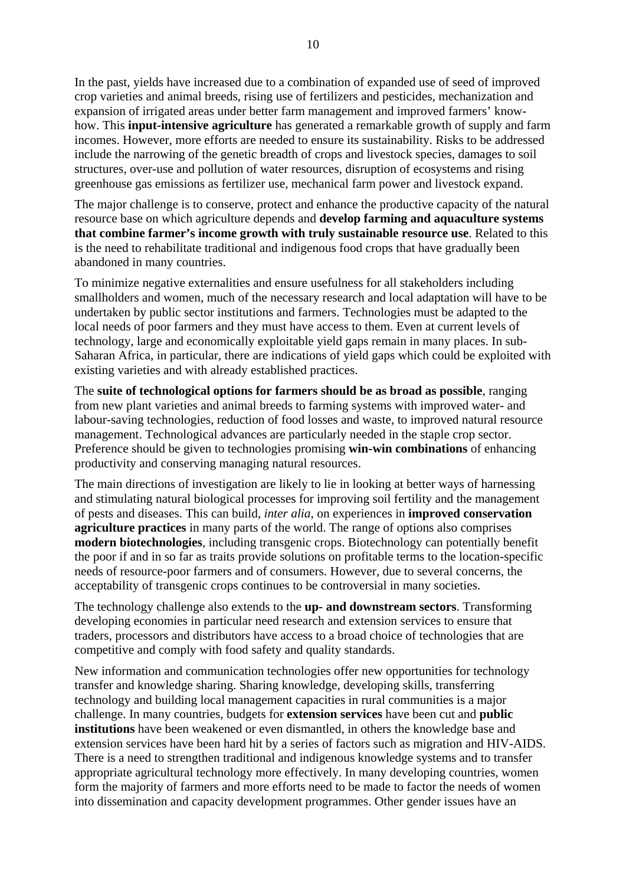In the past, yields have increased due to a combination of expanded use of seed of improved crop varieties and animal breeds, rising use of fertilizers and pesticides, mechanization and expansion of irrigated areas under better farm management and improved farmers' knowhow. This **input-intensive agriculture** has generated a remarkable growth of supply and farm incomes. However, more efforts are needed to ensure its sustainability. Risks to be addressed include the narrowing of the genetic breadth of crops and livestock species, damages to soil structures, over-use and pollution of water resources, disruption of ecosystems and rising greenhouse gas emissions as fertilizer use, mechanical farm power and livestock expand.

The major challenge is to conserve, protect and enhance the productive capacity of the natural resource base on which agriculture depends and **develop farming and aquaculture systems that combine farmer's income growth with truly sustainable resource use**. Related to this is the need to rehabilitate traditional and indigenous food crops that have gradually been abandoned in many countries.

To minimize negative externalities and ensure usefulness for all stakeholders including smallholders and women, much of the necessary research and local adaptation will have to be undertaken by public sector institutions and farmers. Technologies must be adapted to the local needs of poor farmers and they must have access to them. Even at current levels of technology, large and economically exploitable yield gaps remain in many places. In sub-Saharan Africa, in particular, there are indications of yield gaps which could be exploited with existing varieties and with already established practices.

The **suite of technological options for farmers should be as broad as possible**, ranging from new plant varieties and animal breeds to farming systems with improved water- and labour-saving technologies, reduction of food losses and waste, to improved natural resource management. Technological advances are particularly needed in the staple crop sector. Preference should be given to technologies promising **win-win combinations** of enhancing productivity and conserving managing natural resources.

The main directions of investigation are likely to lie in looking at better ways of harnessing and stimulating natural biological processes for improving soil fertility and the management of pests and diseases. This can build, *inter alia*, on experiences in **improved conservation agriculture practices** in many parts of the world. The range of options also comprises **modern biotechnologies**, including transgenic crops. Biotechnology can potentially benefit the poor if and in so far as traits provide solutions on profitable terms to the location-specific needs of resource-poor farmers and of consumers. However, due to several concerns, the acceptability of transgenic crops continues to be controversial in many societies.

The technology challenge also extends to the **up- and downstream sectors**. Transforming developing economies in particular need research and extension services to ensure that traders, processors and distributors have access to a broad choice of technologies that are competitive and comply with food safety and quality standards.

New information and communication technologies offer new opportunities for technology transfer and knowledge sharing. Sharing knowledge, developing skills, transferring technology and building local management capacities in rural communities is a major challenge. In many countries, budgets for **extension services** have been cut and **public institutions** have been weakened or even dismantled, in others the knowledge base and extension services have been hard hit by a series of factors such as migration and HIV-AIDS. There is a need to strengthen traditional and indigenous knowledge systems and to transfer appropriate agricultural technology more effectively. In many developing countries, women form the majority of farmers and more efforts need to be made to factor the needs of women into dissemination and capacity development programmes. Other gender issues have an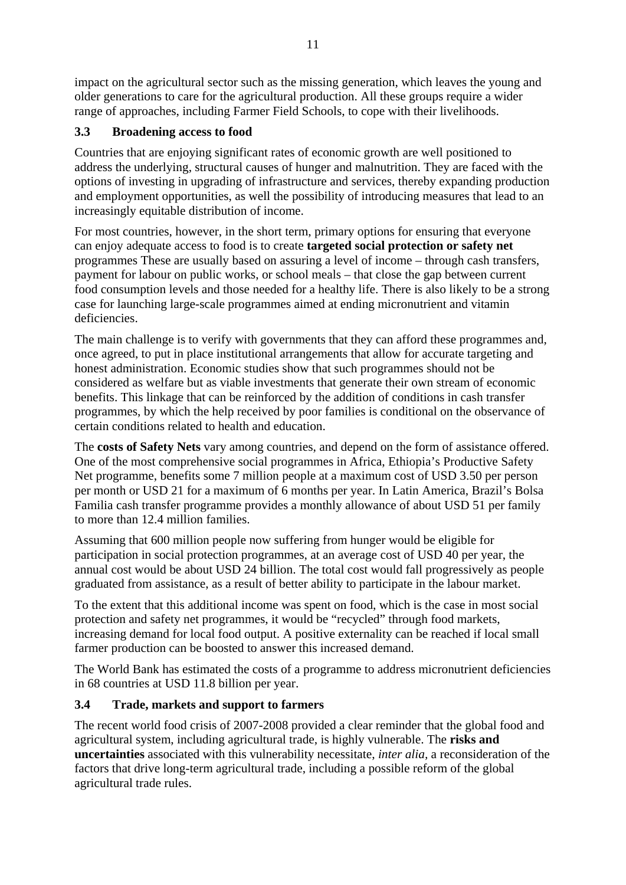impact on the agricultural sector such as the missing generation, which leaves the young and older generations to care for the agricultural production. All these groups require a wider range of approaches, including Farmer Field Schools, to cope with their livelihoods.

# **3.3 Broadening access to food**

Countries that are enjoying significant rates of economic growth are well positioned to address the underlying, structural causes of hunger and malnutrition. They are faced with the options of investing in upgrading of infrastructure and services, thereby expanding production and employment opportunities, as well the possibility of introducing measures that lead to an increasingly equitable distribution of income.

For most countries, however, in the short term, primary options for ensuring that everyone can enjoy adequate access to food is to create **targeted social protection or safety net** programmes These are usually based on assuring a level of income – through cash transfers, payment for labour on public works, or school meals – that close the gap between current food consumption levels and those needed for a healthy life. There is also likely to be a strong case for launching large-scale programmes aimed at ending micronutrient and vitamin deficiencies.

The main challenge is to verify with governments that they can afford these programmes and, once agreed, to put in place institutional arrangements that allow for accurate targeting and honest administration. Economic studies show that such programmes should not be considered as welfare but as viable investments that generate their own stream of economic benefits. This linkage that can be reinforced by the addition of conditions in cash transfer programmes, by which the help received by poor families is conditional on the observance of certain conditions related to health and education.

The **costs of Safety Nets** vary among countries, and depend on the form of assistance offered. One of the most comprehensive social programmes in Africa, Ethiopia's Productive Safety Net programme, benefits some 7 million people at a maximum cost of USD 3.50 per person per month or USD 21 for a maximum of 6 months per year. In Latin America, Brazil's Bolsa Familia cash transfer programme provides a monthly allowance of about USD 51 per family to more than 12.4 million families.

Assuming that 600 million people now suffering from hunger would be eligible for participation in social protection programmes, at an average cost of USD 40 per year, the annual cost would be about USD 24 billion. The total cost would fall progressively as people graduated from assistance, as a result of better ability to participate in the labour market.

To the extent that this additional income was spent on food, which is the case in most social protection and safety net programmes, it would be "recycled" through food markets, increasing demand for local food output. A positive externality can be reached if local small farmer production can be boosted to answer this increased demand.

The World Bank has estimated the costs of a programme to address micronutrient deficiencies in 68 countries at USD 11.8 billion per year.

### **3.4 Trade, markets and support to farmers**

The recent world food crisis of 2007-2008 provided a clear reminder that the global food and agricultural system, including agricultural trade, is highly vulnerable. The **risks and uncertainties** associated with this vulnerability necessitate, *inter alia,* a reconsideration of the factors that drive long-term agricultural trade, including a possible reform of the global agricultural trade rules.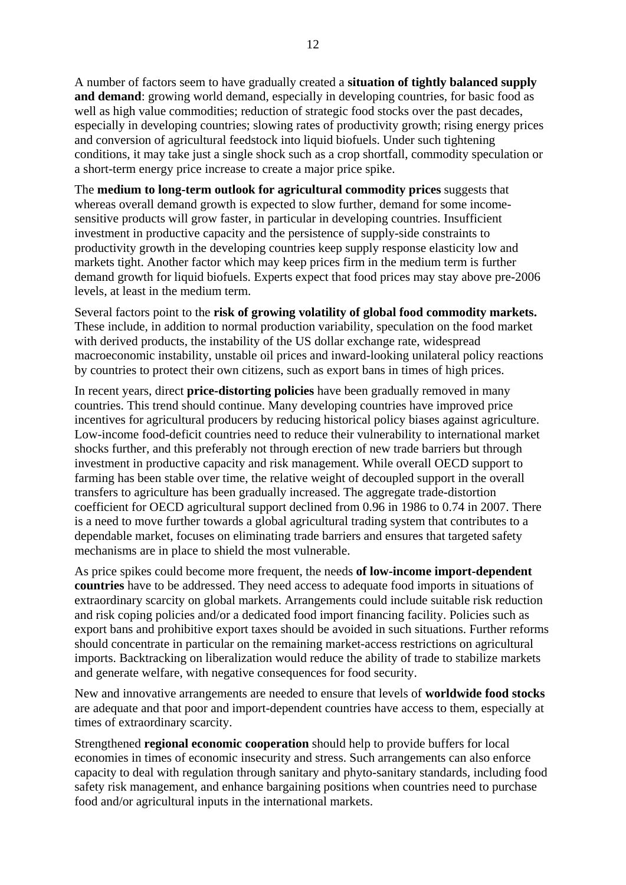A number of factors seem to have gradually created a **situation of tightly balanced supply and demand**: growing world demand, especially in developing countries, for basic food as well as high value commodities; reduction of strategic food stocks over the past decades, especially in developing countries; slowing rates of productivity growth; rising energy prices and conversion of agricultural feedstock into liquid biofuels. Under such tightening conditions, it may take just a single shock such as a crop shortfall, commodity speculation or a short-term energy price increase to create a major price spike.

The **medium to long-term outlook for agricultural commodity prices** suggests that whereas overall demand growth is expected to slow further, demand for some incomesensitive products will grow faster, in particular in developing countries. Insufficient investment in productive capacity and the persistence of supply-side constraints to productivity growth in the developing countries keep supply response elasticity low and markets tight. Another factor which may keep prices firm in the medium term is further demand growth for liquid biofuels. Experts expect that food prices may stay above pre-2006 levels, at least in the medium term.

Several factors point to the **risk of growing volatility of global food commodity markets.** These include, in addition to normal production variability, speculation on the food market with derived products, the instability of the US dollar exchange rate, widespread macroeconomic instability, unstable oil prices and inward-looking unilateral policy reactions by countries to protect their own citizens, such as export bans in times of high prices.

In recent years, direct **price-distorting policies** have been gradually removed in many countries. This trend should continue. Many developing countries have improved price incentives for agricultural producers by reducing historical policy biases against agriculture. Low-income food-deficit countries need to reduce their vulnerability to international market shocks further, and this preferably not through erection of new trade barriers but through investment in productive capacity and risk management. While overall OECD support to farming has been stable over time, the relative weight of decoupled support in the overall transfers to agriculture has been gradually increased. The aggregate trade-distortion coefficient for OECD agricultural support declined from 0.96 in 1986 to 0.74 in 2007. There is a need to move further towards a global agricultural trading system that contributes to a dependable market, focuses on eliminating trade barriers and ensures that targeted safety mechanisms are in place to shield the most vulnerable.

As price spikes could become more frequent, the needs **of low-income import-dependent countries** have to be addressed. They need access to adequate food imports in situations of extraordinary scarcity on global markets. Arrangements could include suitable risk reduction and risk coping policies and/or a dedicated food import financing facility. Policies such as export bans and prohibitive export taxes should be avoided in such situations. Further reforms should concentrate in particular on the remaining market-access restrictions on agricultural imports. Backtracking on liberalization would reduce the ability of trade to stabilize markets and generate welfare, with negative consequences for food security.

New and innovative arrangements are needed to ensure that levels of **worldwide food stocks** are adequate and that poor and import-dependent countries have access to them, especially at times of extraordinary scarcity.

Strengthened **regional economic cooperation** should help to provide buffers for local economies in times of economic insecurity and stress. Such arrangements can also enforce capacity to deal with regulation through sanitary and phyto-sanitary standards, including food safety risk management, and enhance bargaining positions when countries need to purchase food and/or agricultural inputs in the international markets.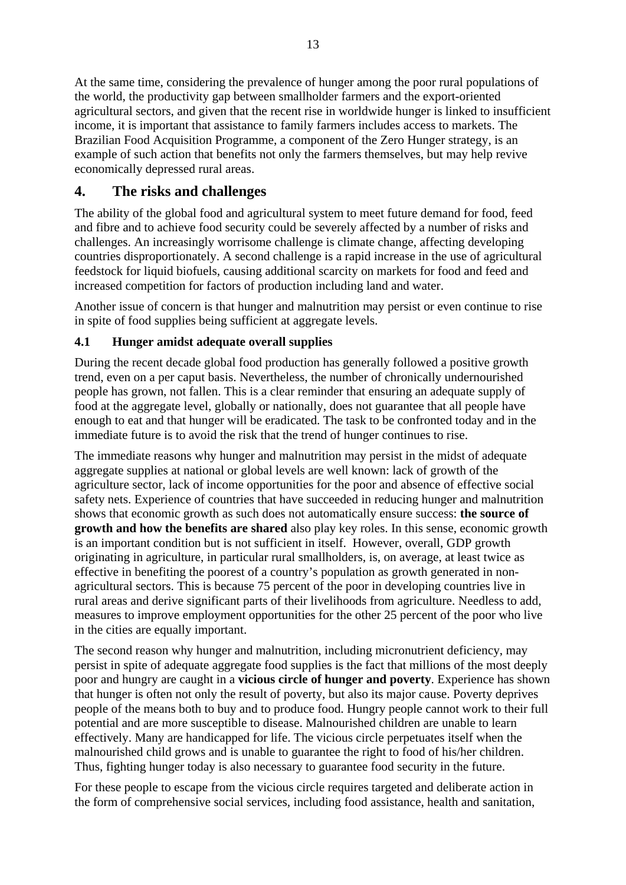At the same time, considering the prevalence of hunger among the poor rural populations of the world, the productivity gap between smallholder farmers and the export-oriented agricultural sectors, and given that the recent rise in worldwide hunger is linked to insufficient income, it is important that assistance to family farmers includes access to markets. The Brazilian Food Acquisition Programme, a component of the Zero Hunger strategy, is an example of such action that benefits not only the farmers themselves, but may help revive economically depressed rural areas.

# **4. The risks and challenges**

The ability of the global food and agricultural system to meet future demand for food, feed and fibre and to achieve food security could be severely affected by a number of risks and challenges. An increasingly worrisome challenge is climate change, affecting developing countries disproportionately. A second challenge is a rapid increase in the use of agricultural feedstock for liquid biofuels, causing additional scarcity on markets for food and feed and increased competition for factors of production including land and water.

Another issue of concern is that hunger and malnutrition may persist or even continue to rise in spite of food supplies being sufficient at aggregate levels.

# **4.1 Hunger amidst adequate overall supplies**

During the recent decade global food production has generally followed a positive growth trend, even on a per caput basis. Nevertheless, the number of chronically undernourished people has grown, not fallen. This is a clear reminder that ensuring an adequate supply of food at the aggregate level, globally or nationally, does not guarantee that all people have enough to eat and that hunger will be eradicated. The task to be confronted today and in the immediate future is to avoid the risk that the trend of hunger continues to rise.

The immediate reasons why hunger and malnutrition may persist in the midst of adequate aggregate supplies at national or global levels are well known: lack of growth of the agriculture sector, lack of income opportunities for the poor and absence of effective social safety nets. Experience of countries that have succeeded in reducing hunger and malnutrition shows that economic growth as such does not automatically ensure success: **the source of growth and how the benefits are shared** also play key roles. In this sense, economic growth is an important condition but is not sufficient in itself. However, overall, GDP growth originating in agriculture, in particular rural smallholders, is, on average, at least twice as effective in benefiting the poorest of a country's population as growth generated in nonagricultural sectors. This is because 75 percent of the poor in developing countries live in rural areas and derive significant parts of their livelihoods from agriculture. Needless to add, measures to improve employment opportunities for the other 25 percent of the poor who live in the cities are equally important.

The second reason why hunger and malnutrition, including micronutrient deficiency, may persist in spite of adequate aggregate food supplies is the fact that millions of the most deeply poor and hungry are caught in a **vicious circle of hunger and poverty**. Experience has shown that hunger is often not only the result of poverty, but also its major cause. Poverty deprives people of the means both to buy and to produce food. Hungry people cannot work to their full potential and are more susceptible to disease. Malnourished children are unable to learn effectively. Many are handicapped for life. The vicious circle perpetuates itself when the malnourished child grows and is unable to guarantee the right to food of his/her children. Thus, fighting hunger today is also necessary to guarantee food security in the future.

For these people to escape from the vicious circle requires targeted and deliberate action in the form of comprehensive social services, including food assistance, health and sanitation,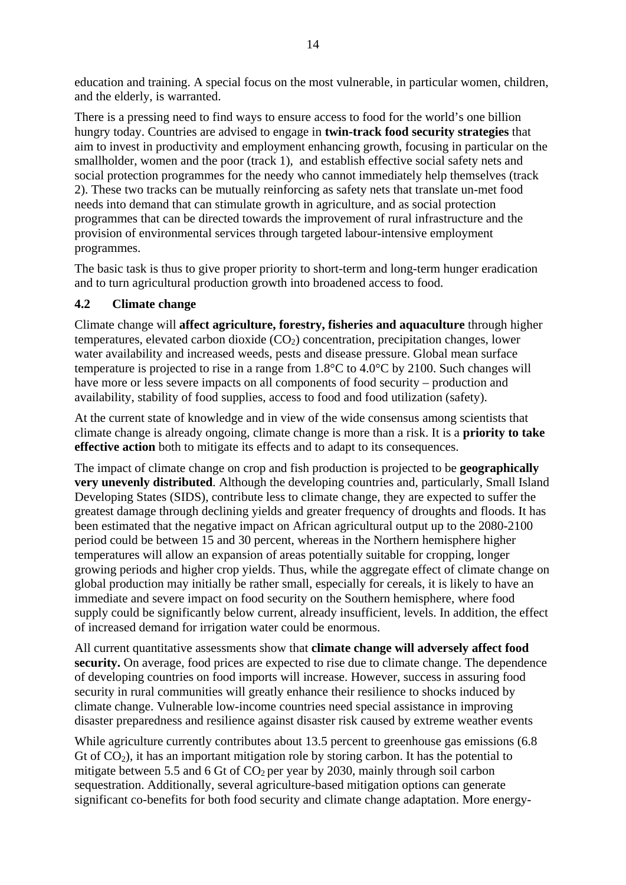education and training. A special focus on the most vulnerable, in particular women, children, and the elderly, is warranted.

There is a pressing need to find ways to ensure access to food for the world's one billion hungry today. Countries are advised to engage in **twin-track food security strategies** that aim to invest in productivity and employment enhancing growth, focusing in particular on the smallholder, women and the poor (track 1), and establish effective social safety nets and social protection programmes for the needy who cannot immediately help themselves (track 2). These two tracks can be mutually reinforcing as safety nets that translate un-met food needs into demand that can stimulate growth in agriculture, and as social protection programmes that can be directed towards the improvement of rural infrastructure and the provision of environmental services through targeted labour-intensive employment programmes.

The basic task is thus to give proper priority to short-term and long-term hunger eradication and to turn agricultural production growth into broadened access to food.

### **4.2 Climate change**

Climate change will **affect agriculture, forestry, fisheries and aquaculture** through higher temperatures, elevated carbon dioxide  $(CO<sub>2</sub>)$  concentration, precipitation changes, lower water availability and increased weeds, pests and disease pressure. Global mean surface temperature is projected to rise in a range from 1.8°C to 4.0°C by 2100. Such changes will have more or less severe impacts on all components of food security – production and availability, stability of food supplies, access to food and food utilization (safety).

At the current state of knowledge and in view of the wide consensus among scientists that climate change is already ongoing, climate change is more than a risk. It is a **priority to take effective action** both to mitigate its effects and to adapt to its consequences.

The impact of climate change on crop and fish production is projected to be **geographically very unevenly distributed**. Although the developing countries and, particularly, Small Island Developing States (SIDS), contribute less to climate change, they are expected to suffer the greatest damage through declining yields and greater frequency of droughts and floods. It has been estimated that the negative impact on African agricultural output up to the 2080-2100 period could be between 15 and 30 percent, whereas in the Northern hemisphere higher temperatures will allow an expansion of areas potentially suitable for cropping, longer growing periods and higher crop yields. Thus, while the aggregate effect of climate change on global production may initially be rather small, especially for cereals, it is likely to have an immediate and severe impact on food security on the Southern hemisphere, where food supply could be significantly below current, already insufficient, levels. In addition, the effect of increased demand for irrigation water could be enormous.

All current quantitative assessments show that **climate change will adversely affect food security.** On average, food prices are expected to rise due to climate change. The dependence of developing countries on food imports will increase. However, success in assuring food security in rural communities will greatly enhance their resilience to shocks induced by climate change. Vulnerable low-income countries need special assistance in improving disaster preparedness and resilience against disaster risk caused by extreme weather events

While agriculture currently contributes about 13.5 percent to greenhouse gas emissions (6.8) Gt of  $CO<sub>2</sub>$ ), it has an important mitigation role by storing carbon. It has the potential to mitigate between 5.5 and 6 Gt of  $CO<sub>2</sub>$  per year by 2030, mainly through soil carbon sequestration. Additionally, several agriculture-based mitigation options can generate significant co-benefits for both food security and climate change adaptation. More energy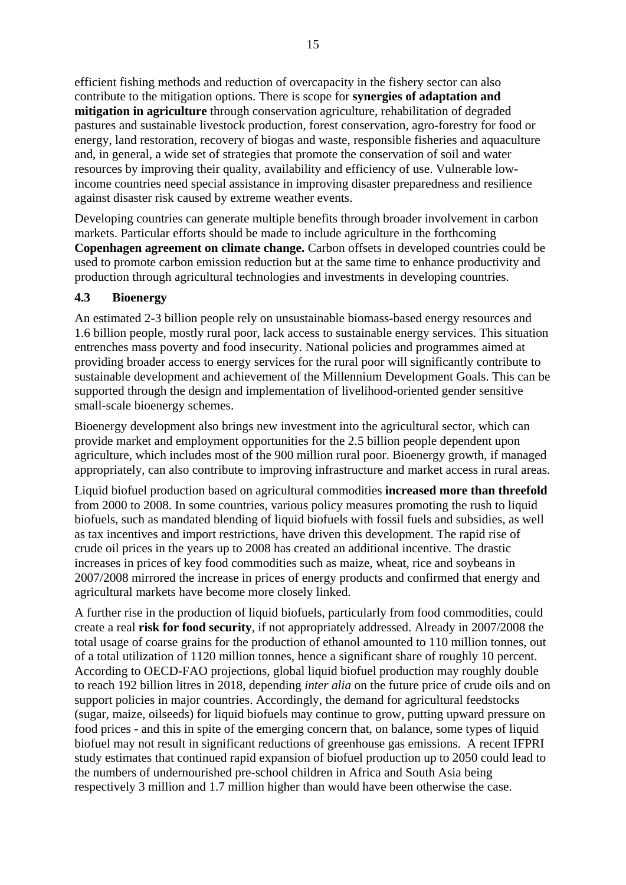efficient fishing methods and reduction of overcapacity in the fishery sector can also contribute to the mitigation options. There is scope for **synergies of adaptation and mitigation in agriculture** through conservation agriculture, rehabilitation of degraded pastures and sustainable livestock production, forest conservation, agro-forestry for food or energy, land restoration, recovery of biogas and waste, responsible fisheries and aquaculture and, in general, a wide set of strategies that promote the conservation of soil and water resources by improving their quality, availability and efficiency of use. Vulnerable lowincome countries need special assistance in improving disaster preparedness and resilience against disaster risk caused by extreme weather events.

Developing countries can generate multiple benefits through broader involvement in carbon markets. Particular efforts should be made to include agriculture in the forthcoming **Copenhagen agreement on climate change.** Carbon offsets in developed countries could be used to promote carbon emission reduction but at the same time to enhance productivity and production through agricultural technologies and investments in developing countries.

### **4.3 Bioenergy**

An estimated 2-3 billion people rely on unsustainable biomass-based energy resources and 1.6 billion people, mostly rural poor, lack access to sustainable energy services. This situation entrenches mass poverty and food insecurity. National policies and programmes aimed at providing broader access to energy services for the rural poor will significantly contribute to sustainable development and achievement of the Millennium Development Goals. This can be supported through the design and implementation of livelihood-oriented gender sensitive small-scale bioenergy schemes.

Bioenergy development also brings new investment into the agricultural sector, which can provide market and employment opportunities for the 2.5 billion people dependent upon agriculture, which includes most of the 900 million rural poor. Bioenergy growth, if managed appropriately, can also contribute to improving infrastructure and market access in rural areas.

Liquid biofuel production based on agricultural commodities **increased more than threefold**  from 2000 to 2008. In some countries, various policy measures promoting the rush to liquid biofuels, such as mandated blending of liquid biofuels with fossil fuels and subsidies, as well as tax incentives and import restrictions, have driven this development. The rapid rise of crude oil prices in the years up to 2008 has created an additional incentive. The drastic increases in prices of key food commodities such as maize, wheat, rice and soybeans in 2007/2008 mirrored the increase in prices of energy products and confirmed that energy and agricultural markets have become more closely linked.

A further rise in the production of liquid biofuels, particularly from food commodities, could create a real **risk for food security**, if not appropriately addressed. Already in 2007/2008 the total usage of coarse grains for the production of ethanol amounted to 110 million tonnes, out of a total utilization of 1120 million tonnes, hence a significant share of roughly 10 percent. According to OECD-FAO projections, global liquid biofuel production may roughly double to reach 192 billion litres in 2018, depending *inter alia* on the future price of crude oils and on support policies in major countries. Accordingly, the demand for agricultural feedstocks (sugar, maize, oilseeds) for liquid biofuels may continue to grow, putting upward pressure on food prices - and this in spite of the emerging concern that, on balance, some types of liquid biofuel may not result in significant reductions of greenhouse gas emissions. A recent IFPRI study estimates that continued rapid expansion of biofuel production up to 2050 could lead to the numbers of undernourished pre-school children in Africa and South Asia being respectively 3 million and 1.7 million higher than would have been otherwise the case.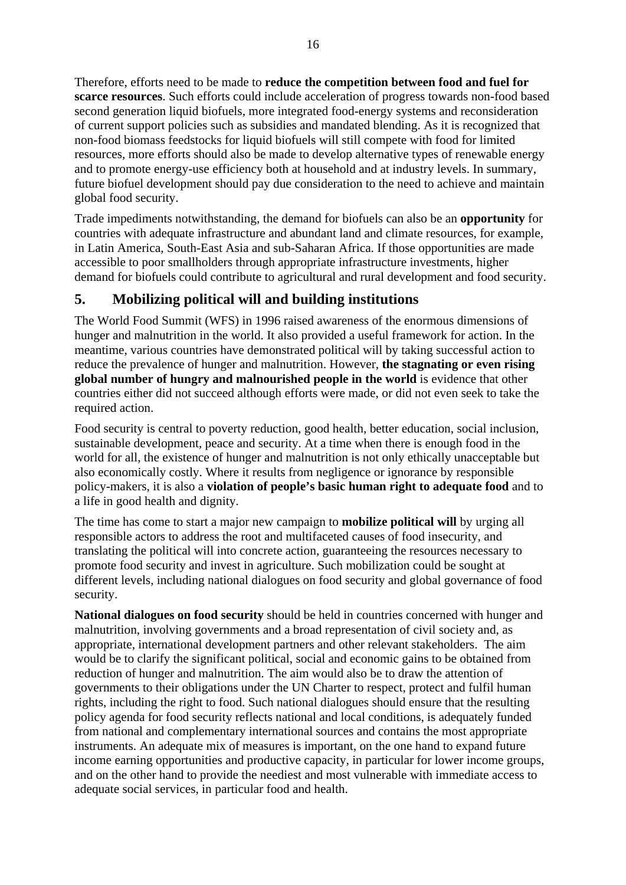Therefore, efforts need to be made to **reduce the competition between food and fuel for scarce resources**. Such efforts could include acceleration of progress towards non-food based second generation liquid biofuels, more integrated food-energy systems and reconsideration of current support policies such as subsidies and mandated blending. As it is recognized that non-food biomass feedstocks for liquid biofuels will still compete with food for limited resources, more efforts should also be made to develop alternative types of renewable energy and to promote energy-use efficiency both at household and at industry levels. In summary, future biofuel development should pay due consideration to the need to achieve and maintain global food security.

Trade impediments notwithstanding, the demand for biofuels can also be an **opportunity** for countries with adequate infrastructure and abundant land and climate resources, for example, in Latin America, South-East Asia and sub-Saharan Africa. If those opportunities are made accessible to poor smallholders through appropriate infrastructure investments, higher demand for biofuels could contribute to agricultural and rural development and food security.

# **5. Mobilizing political will and building institutions**

The World Food Summit (WFS) in 1996 raised awareness of the enormous dimensions of hunger and malnutrition in the world. It also provided a useful framework for action. In the meantime, various countries have demonstrated political will by taking successful action to reduce the prevalence of hunger and malnutrition. However, **the stagnating or even rising global number of hungry and malnourished people in the world** is evidence that other countries either did not succeed although efforts were made, or did not even seek to take the required action.

Food security is central to poverty reduction, good health, better education, social inclusion, sustainable development, peace and security. At a time when there is enough food in the world for all, the existence of hunger and malnutrition is not only ethically unacceptable but also economically costly. Where it results from negligence or ignorance by responsible policy-makers, it is also a **violation of people's basic human right to adequate food** and to a life in good health and dignity.

The time has come to start a major new campaign to **mobilize political will** by urging all responsible actors to address the root and multifaceted causes of food insecurity, and translating the political will into concrete action, guaranteeing the resources necessary to promote food security and invest in agriculture. Such mobilization could be sought at different levels, including national dialogues on food security and global governance of food security.

**National dialogues on food security** should be held in countries concerned with hunger and malnutrition, involving governments and a broad representation of civil society and, as appropriate, international development partners and other relevant stakeholders. The aim would be to clarify the significant political, social and economic gains to be obtained from reduction of hunger and malnutrition. The aim would also be to draw the attention of governments to their obligations under the UN Charter to respect, protect and fulfil human rights, including the right to food. Such national dialogues should ensure that the resulting policy agenda for food security reflects national and local conditions, is adequately funded from national and complementary international sources and contains the most appropriate instruments. An adequate mix of measures is important, on the one hand to expand future income earning opportunities and productive capacity, in particular for lower income groups, and on the other hand to provide the neediest and most vulnerable with immediate access to adequate social services, in particular food and health.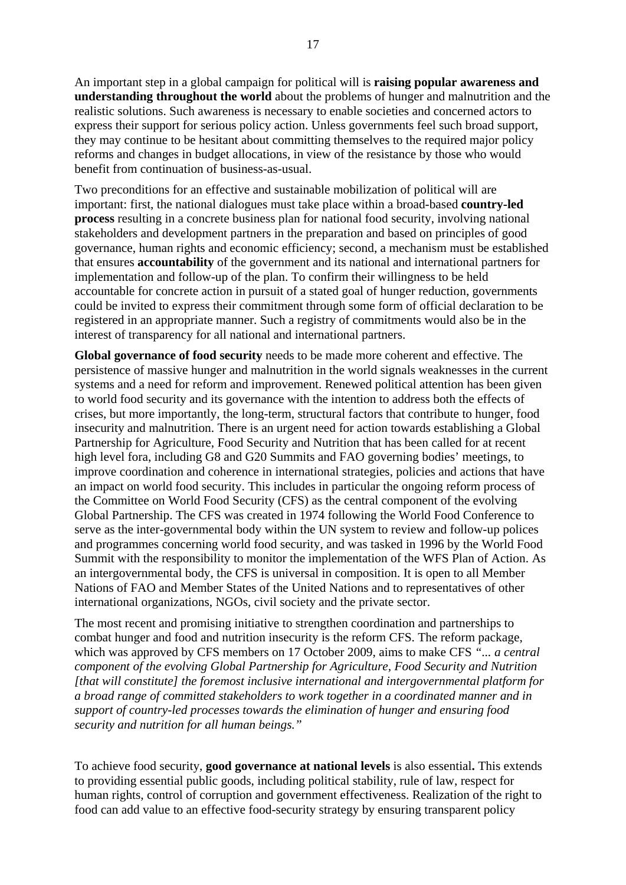An important step in a global campaign for political will is **raising popular awareness and understanding throughout the world** about the problems of hunger and malnutrition and the realistic solutions. Such awareness is necessary to enable societies and concerned actors to express their support for serious policy action. Unless governments feel such broad support, they may continue to be hesitant about committing themselves to the required major policy reforms and changes in budget allocations, in view of the resistance by those who would benefit from continuation of business-as-usual.

Two preconditions for an effective and sustainable mobilization of political will are important: first, the national dialogues must take place within a broad-based **country-led process** resulting in a concrete business plan for national food security, involving national stakeholders and development partners in the preparation and based on principles of good governance, human rights and economic efficiency; second, a mechanism must be established that ensures **accountability** of the government and its national and international partners for implementation and follow-up of the plan. To confirm their willingness to be held accountable for concrete action in pursuit of a stated goal of hunger reduction, governments could be invited to express their commitment through some form of official declaration to be registered in an appropriate manner. Such a registry of commitments would also be in the interest of transparency for all national and international partners.

**Global governance of food security** needs to be made more coherent and effective. The persistence of massive hunger and malnutrition in the world signals weaknesses in the current systems and a need for reform and improvement. Renewed political attention has been given to world food security and its governance with the intention to address both the effects of crises, but more importantly, the long-term, structural factors that contribute to hunger, food insecurity and malnutrition. There is an urgent need for action towards establishing a Global Partnership for Agriculture, Food Security and Nutrition that has been called for at recent high level fora, including G8 and G20 Summits and FAO governing bodies' meetings, to improve coordination and coherence in international strategies, policies and actions that have an impact on world food security. This includes in particular the ongoing reform process of the Committee on World Food Security (CFS) as the central component of the evolving Global Partnership. The CFS was created in 1974 following the World Food Conference to serve as the inter-governmental body within the UN system to review and follow-up polices and programmes concerning world food security, and was tasked in 1996 by the World Food Summit with the responsibility to monitor the implementation of the WFS Plan of Action. As an intergovernmental body, the CFS is universal in composition. It is open to all Member Nations of FAO and Member States of the United Nations and to representatives of other international organizations, NGOs, civil society and the private sector.

The most recent and promising initiative to strengthen coordination and partnerships to combat hunger and food and nutrition insecurity is the reform CFS. The reform package, which was approved by CFS members on 17 October 2009, aims to make CFS *"... a central component of the evolving Global Partnership for Agriculture, Food Security and Nutrition [that will constitute] the foremost inclusive international and intergovernmental platform for a broad range of committed stakeholders to work together in a coordinated manner and in support of country-led processes towards the elimination of hunger and ensuring food security and nutrition for all human beings."*

To achieve food security, **good governance at national levels** is also essential**.** This extends to providing essential public goods, including political stability, rule of law, respect for human rights, control of corruption and government effectiveness. Realization of the right to food can add value to an effective food-security strategy by ensuring transparent policy